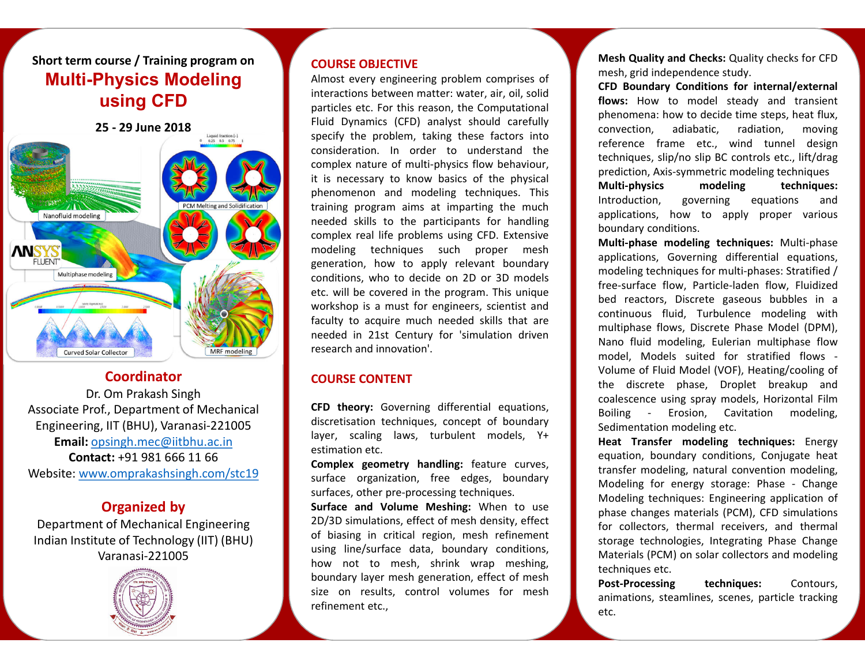# **Short term course / Training program on Multi-Physics Modeling using CFD**



# **Coordinator**

Dr. Om Prakash Singh Associate Prof., Department of Mechanical Engineering, IIT (BHU), Varanasi-221005 **Email:** opsingh.mec@iitbhu.ac.in **Contact:** +91 981 666 11 66 Website: www.omprakashsingh.com/stc19

# **Organized by**

Department of Mechanical Engineering Indian Institute of Technology (IIT) (BHU) Varanasi-221005



# **COURSE OBJECTIVE**

Almost every engineering problem comprises of interactions between matter: water, air, oil, solid particles etc. For this reason, the Computational Fluid Dynamics (CFD) analyst should carefully specify the problem, taking these factors into consideration. In order to understand the complex nature of multi-physics flow behaviour, it is necessary to know basics of the physical phenomenon and modeling techniques. This training program aims at imparting the much needed skills to the participants for handling complex real life problems using CFD. Extensive modeling techniques such proper mesh generation, how to apply relevant boundary conditions, who to decide on 2D or 3D models etc. will be covered in the program. This unique workshop is a must for engineers, scientist and faculty to acquire much needed skills that are needed in 21st Century for 'simulation driven research and innovation'.

# **COURSE CONTENT**

**CFD theory:** Governing differential equations, discretisation techniques, concept of boundary layer, scaling laws, turbulent models, Y+ estimation etc.

**Complex geometry handling:** feature curves, surface organization, free edges, boundary surfaces, other pre-processing techniques.

**Surface and Volume Meshing:** When to use 2D/3D simulations, effect of mesh density, effect of biasing in critical region, mesh refinement using line/surface data, boundary conditions, how not to mesh, shrink wrap meshing, boundary layer mesh generation, effect of mesh size on results, control volumes for mesh refinement etc.,

**Mesh Quality and Checks:** Quality checks for CFD mesh, grid independence study.

**CFD Boundary Conditions for internal/external flows:** How to model steady and transient phenomena: how to decide time steps, heat flux, convection, adiabatic, radiation, moving reference frame etc., wind tunnel design techniques, slip/no slip BC controls etc., lift/drag prediction, Axis-symmetric modeling techniques

**Multi-physics modeling techniques:** Introduction, governing equations and applications, how to apply proper various boundary conditions.

**Multi-phase modeling techniques:** Multi-phase applications, Governing differential equations, modeling techniques for multi-phases: Stratified / free-surface flow, Particle-laden flow, Fluidized bed reactors, Discrete gaseous bubbles in a continuous fluid, Turbulence modeling with multiphase flows, Discrete Phase Model (DPM), Nano fluid modeling, Eulerian multiphase flow model, Models suited for stratified flows - Volume of Fluid Model (VOF), Heating/cooling of the discrete phase, Droplet breakup and coalescence using spray models, Horizontal Film Boiling - Erosion, Cavitation modeling, Sedimentation modeling etc.

**Heat Transfer modeling techniques:** Energy equation, boundary conditions, Conjugate heat transfer modeling, natural convention modeling, Modeling for energy storage: Phase - Change Modeling techniques: Engineering application of phase changes materials (PCM), CFD simulations for collectors, thermal receivers, and thermal storage technologies, Integrating Phase Change Materials (PCM) on solar collectors and modeling techniques etc.

**Post-Processing techniques:** Contours, animations, steamlines, scenes, particle tracking etc.